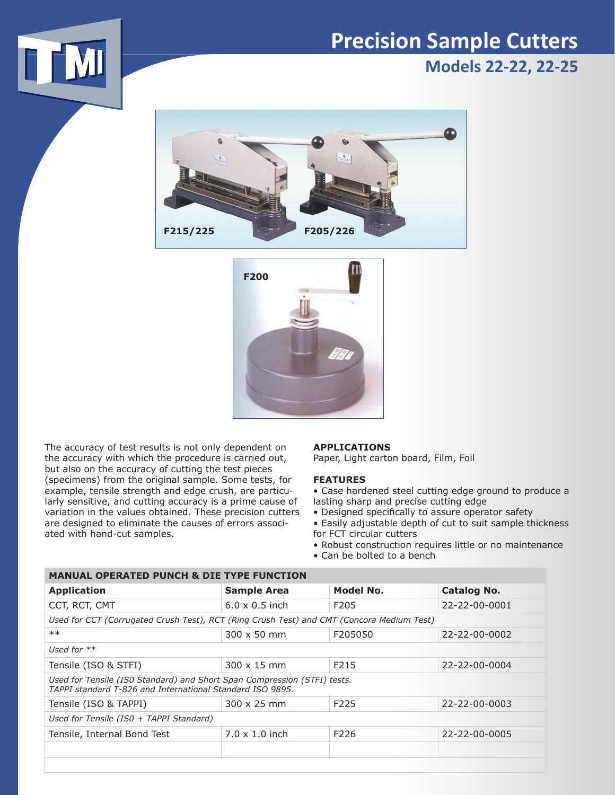## **Precision Sample Cutters Models 22-22, 22-25**





The accuracy of test results is not only dependent on the accuracy with which the procedure is carried out, but also on the accuracy of cutting the test pieces (specimens) from the original sample. Some tests, for example, tensile strength and edge crush, are particularly sensitive, and cutting accuracy is a prime cause of variation in the values obtained. These precision cutters are designed to eliminate the causes of errors associated with hand-cut samples.

**MANUAL OPERATED PUNCH & DIE TYPE FUNCTION**

## **APPLICATIONS**

Paper, Light carton board, Film, Foil

## **FEATURES**

• Case hardened steel cutting edge ground to produce a lasting sharp and precise cutting edge

• Designed specifically to assure operator safety

• Easily adjustable depth of cut to suit sample thickness for FCT circular cutters

- Robust construction requires little or no maintenance
- Can be bolted to a bench

| PANYAL OF LIVATED FONCH & DIL TIFL FONCHON                                                                                            |                       |                   |                    |  |  |
|---------------------------------------------------------------------------------------------------------------------------------------|-----------------------|-------------------|--------------------|--|--|
| <b>Application</b>                                                                                                                    | <b>Sample Area</b>    | Model No.         | <b>Catalog No.</b> |  |  |
| CCT, RCT, CMT                                                                                                                         | $6.0 \times 0.5$ inch | F205              | 22-22-00-0001      |  |  |
| Used for CCT (Corrugated Crush Test), RCT (Ring Crush Test) and CMT (Concora Medium Test)                                             |                       |                   |                    |  |  |
| $**$                                                                                                                                  | $300 \times 50$ mm    | F205050           | 22-22-00-0002      |  |  |
| Used for $**$                                                                                                                         |                       |                   |                    |  |  |
| Tensile (ISO & STFI)                                                                                                                  | $300 \times 15$ mm    | F <sub>2</sub> 15 | 22-22-00-0004      |  |  |
| Used for Tensile (IS0 Standard) and Short Span Compression (STFI) tests.<br>TAPPI standard T-826 and International Standard ISO 9895. |                       |                   |                    |  |  |
| Tensile (ISO & TAPPI)                                                                                                                 | 300 x 25 mm           | F <sub>225</sub>  | 22-22-00-0003      |  |  |
| Used for Tensile (ISO + TAPPI Standard)                                                                                               |                       |                   |                    |  |  |
| Tensile, Internal Bond Test                                                                                                           | $7.0 \times 1.0$ inch | F226              | 22-22-00-0005      |  |  |
|                                                                                                                                       |                       |                   |                    |  |  |
|                                                                                                                                       |                       |                   |                    |  |  |